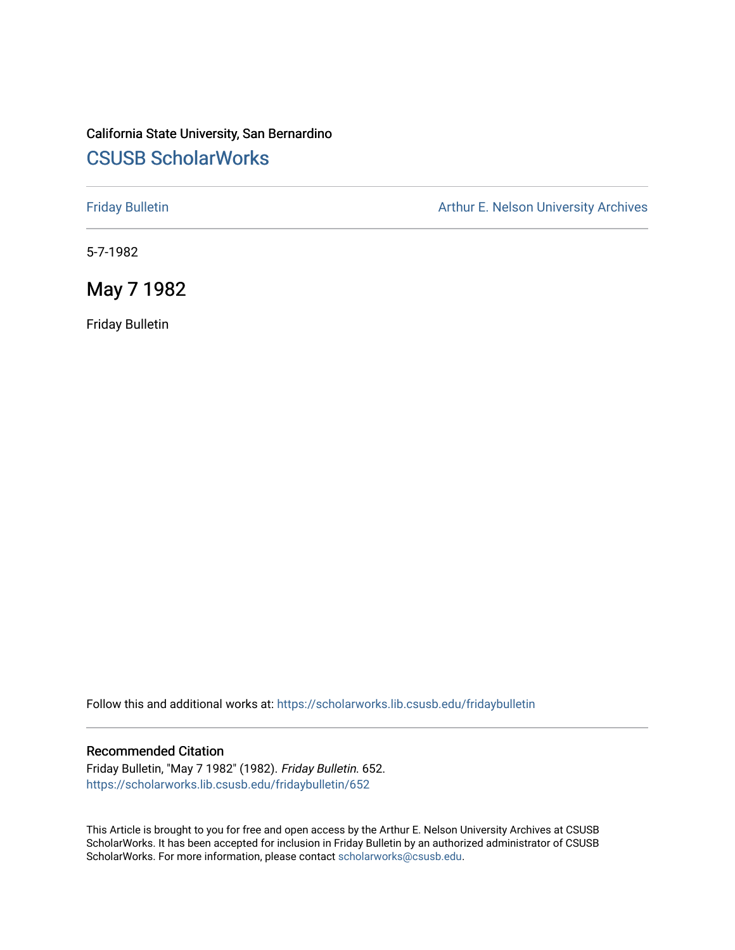# California State University, San Bernardino [CSUSB ScholarWorks](https://scholarworks.lib.csusb.edu/)

[Friday Bulletin](https://scholarworks.lib.csusb.edu/fridaybulletin) **Arthur E. Nelson University Archives** Arthur E. Nelson University Archives

5-7-1982

May 7 1982

Friday Bulletin

Follow this and additional works at: [https://scholarworks.lib.csusb.edu/fridaybulletin](https://scholarworks.lib.csusb.edu/fridaybulletin?utm_source=scholarworks.lib.csusb.edu%2Ffridaybulletin%2F652&utm_medium=PDF&utm_campaign=PDFCoverPages)

#### Recommended Citation

Friday Bulletin, "May 7 1982" (1982). Friday Bulletin. 652. [https://scholarworks.lib.csusb.edu/fridaybulletin/652](https://scholarworks.lib.csusb.edu/fridaybulletin/652?utm_source=scholarworks.lib.csusb.edu%2Ffridaybulletin%2F652&utm_medium=PDF&utm_campaign=PDFCoverPages)

This Article is brought to you for free and open access by the Arthur E. Nelson University Archives at CSUSB ScholarWorks. It has been accepted for inclusion in Friday Bulletin by an authorized administrator of CSUSB ScholarWorks. For more information, please contact [scholarworks@csusb.edu.](mailto:scholarworks@csusb.edu)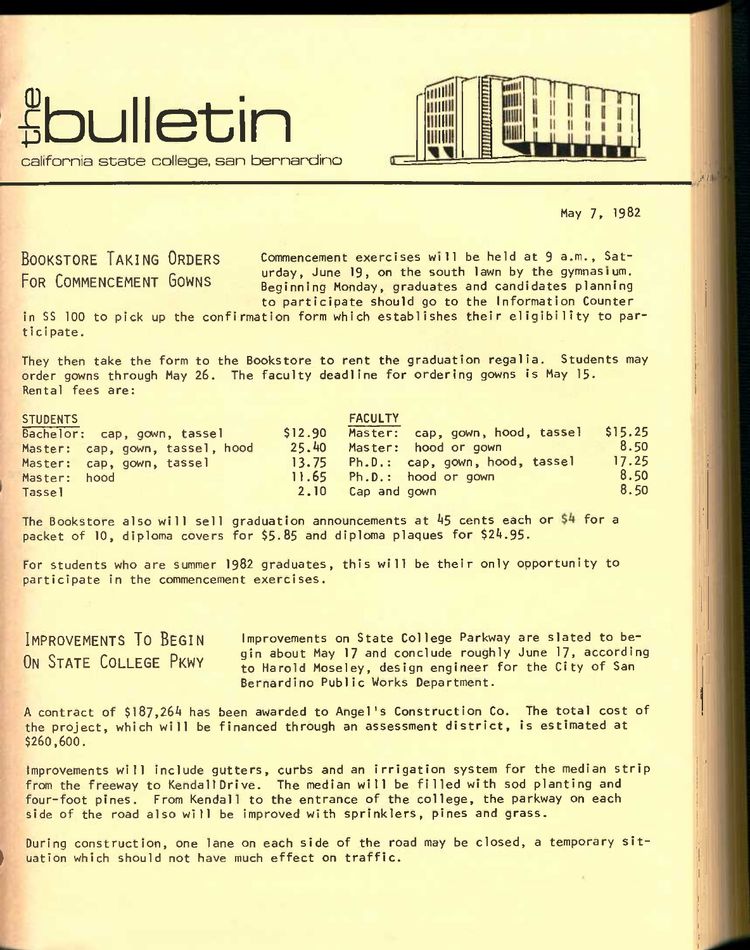



California state college, san bernandino

May 7, 1982

 $.1111$ 

**BOOKSTORE TAKING ORDERS FOR COMMENCEMENT GOWNS** 

Commencement exercises will be held at 9 a.m., Saturday, June 19, on the south lawn by the gymnasium. Beginning Monday, graduates and candidates planning to participate should go to the Information Counter

in SS 100 to pick up the confirmation form which establishes their eligibility to participate.

They then take the form to the Bookstore to rent the graduation regalia. Students may order gowns through May 26. The faculty deadline for ordering gowns is May 15. Rental fees are:

| <b>STUDENTS</b>                 |           | <b>FACULTY</b>                  |         |
|---------------------------------|-----------|---------------------------------|---------|
| Bachelor: cap, gown, tassel     | \$12.90   | Master: cap, gown, hood, tassel | \$15.25 |
| Master: cap, gown, tassel, hood | 25.40     | Master: hood or gown            | 8.50    |
| Master: cap, gown, tassel       | 13.75     | Ph.D.: cap, gown, hood, tassel  | 17.25   |
| Master: hood                    | $11.65 -$ | Ph.D.: hood or gown             | 8.50    |
| <b>Tassel</b>                   |           | 2.10 Cap and gown               | 8.50    |

The Bookstore also will sell graduation announcements at  $45$  cents each or  $54$  for a packet of 10, diploma covers for \$5.85 and diploma plaques for \$24.95.

For students who are summer 1982 graduates, this will be their only opportunity to participate in the commencement exercises.

**IMPROVEMENTS TO BEGIN ON STATE COLLEGE PKWY** 

I

Improvements on State College Parkway are slated to begin about May 17 and conclude roughly June 17, according to Harold Moseley, design engineer for the City of San Bernardino Public Works Department.

A contract of \$187,26^ has been awarded to Angel's Construction Co. The total cost of the project, which will be financed through an assessment district, is estimated at \$260,600.

Improvements will include gutters, curbs and an irrigation system for the median strip from the freeway to Kendall Drive. The median will be filled with sod planting and four-foot pines. From Kendall to the entrance of the college, the parkway on each side of the road also will be improved with sprinklers, pines and grass.

During construction, one lane on each side of the road may be closed, a temporary situation which should not have much effect on traffic.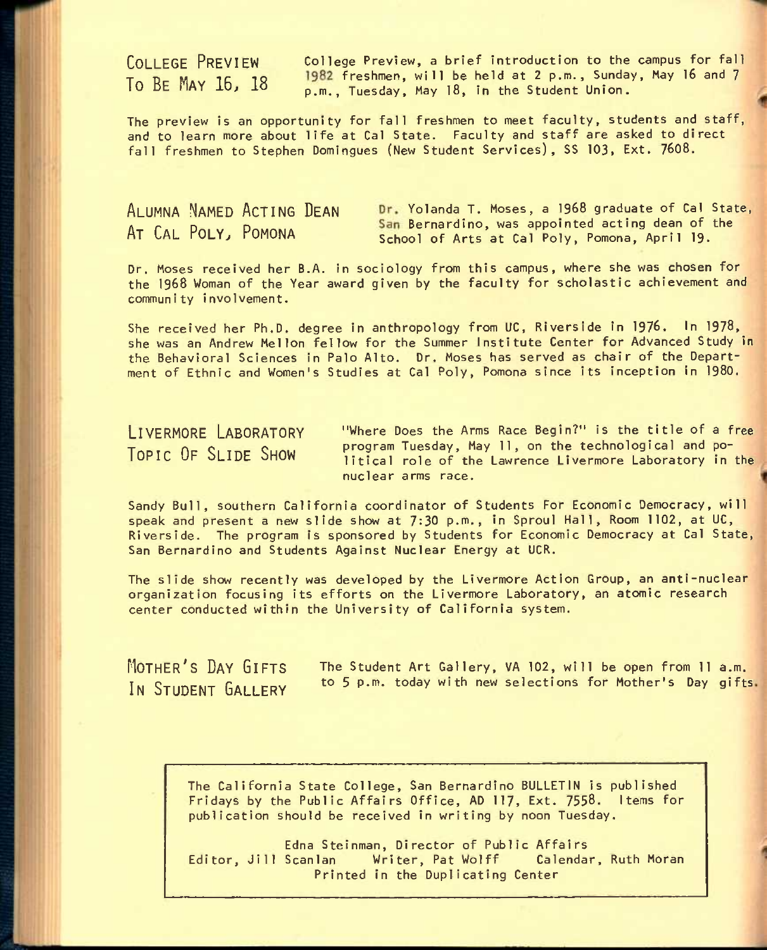COLLEGE PREVIEW College Preview, a brief introduction to the campus for fall To BE May  $16$ ,  $18$   $1982$  freshmen, will be held at 2 p.m., Sunday, May 16 and 7 p.m., Tuesday, May 18, in the Student Union.

The preview is an opportunity for fall freshmen to meet faculty, students and staff, and to learn more about life at Gal State. Faculty and staff are asked to direct fall freshmen to Stephen Domingues (New Student Services), SS 103, Ext, 7608.

| ALUMNA NAMED ACTING DEAN | Dr. Yolanda T. Moses, a 1968 graduate of Cal State,                                               |
|--------------------------|---------------------------------------------------------------------------------------------------|
| AT CAL POLY, POMONA      | San Bernardino, was appointed acting dean of the<br>School of Arts at Cal Poly, Pomona, April 19. |

Dr. Moses received her B.A. in sociology from this campus, where she was chosen for the 1968 Woman of the Year award given by the faculty for scholastic achievement and community involvement.

She received her Ph.D. degree in anthropology from UC, Riverside in 1976. In 1978, she was an Andrew Mellon fellow for the Summer Institute Center for Advanced Study in the Behavioral Sciences in Palo Alto. Dr. Moses has served as chair of the Department of Ethnic and Women's Studies at Cal Poly, Pomona since its inception in 1980.

**LIVERMORE LABORATORY TOPIC OF SLIDE SHOW** 

"Where Does the Arms Race Begin?" is the title of a free program Tuesday, May 11, on the technological and political role of the Lawrence Livermore Laboratory in the nuclear arms race.

Sandy Bull, southern California coordinator of Students For Economic Democracy, will speak and present a new slide show at 7:30 p.m., in Sproul Hall, Room 1102, at UG, Riverside. The program is sponsored by Students for Economic Democracy at Gal State, San Bernardino and Students Against Nuclear Energy at UGR.

The slide show recently was developed by the Livermore Action Group, an anti-nuclear organization focusing its efforts on the Livermore Laboratory, an atomic research center conducted within the University of California system.

**MOTHER'S DAY GIFTS IN STUDENT GALLERY** 

The Student Art Gallery, VA 102, will be open from 11 a.m. to 5 p.m. today with new selections for Mother's Day gifts

The California State College, San Bernardino BULLETIN is published Fridays by the Public Affairs Office, AD 117, Ext. 7558. Items for publication should be received in writing by noon Tuesday.

Edna Steinman, Director of Public Affairs Editor, Jill Scanlan Writer, Pat Wolff Calendar, Ruth Moran Printed in the Duplicating Center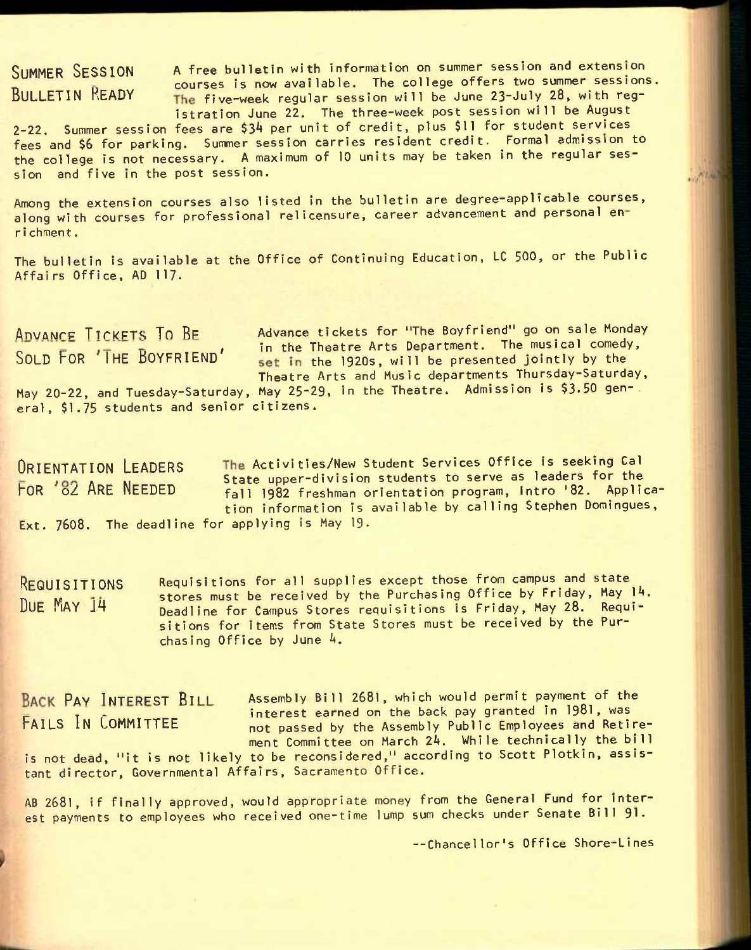<sup>S</sup>**UMMER** S**ESSION A** free bulletin with information on summer session and extension courses is now available. The college offers two summer sessions. B**ULLETIN** R**EADY** five-week regular session will be June 23-July 28, with registration June 22. The three-week post session will be August

2-22. Summer session fees are \$34 per unit of credit, plus \$11 for student services fees and \$6 for parking. Summer session carries resident credit. Formal admission to the college is not necessary. A maximum of 10 units may be taken in the regular session and five in the post session.

Among the extension courses also listed in the bulletin are degree-applicable courses, along with courses for professional relicensure, career advancement and personal enri chment.

The bulletin is available at the Office of Continuing Education, LC 500, or the Public Affairs Office, AD 117.

ADVANCE TICKETS TO BE Advance tickets for "The Boyfriend" go on sale Monday SOLD FOR 'THE BOYFRIEND' in the Theatre Arts Department. The musical comedy, set in the 1920s, will be presented jointly by the Theatre Arts and Music departments Thursday-Saturday, May 20-22. and Tuesday-Saturday, May 25-29, in the Theatre. Admission is \$3.50 gen-,

**ANTIN** 

eral, \$1.75 students and senior citizens.

ORIENTATION LEADERS The Activities/New Student Services Office is seeking Cal **EXAMPLE 19 State upper-division students to serve as leaders for the**<br>FOR '82 ARE NEEDED **1982 freshman orientation program, intro** '82, Appli-F**OR O**Z A**RE** N**EEDED** FAN 1982 freshman orientation program, Intro '82. Application information is available by calling Stephen Domingues, Ext. 7608. The deadline for applying is May 19.

**REQUISITIONS** Requisitions for all supplies except those from campus and state  $\frac{14}{14}$  stores must be received by the Purchasing Office by Friday, May 14. Deadline for Campus Stores requisitions is Friday, May 28. Requisitions for items from State Stores must be received by the Purchasing Office by June 4.

<sup>P</sup>**AY** I**NTEREST** B**ILL** Assembly Siil 2681, which would permit payment of the **FAILS IN COMMITTEE** interest earned on the back pay granted in 1981, was<br>FAILS IN COMMITTEE and passed by the Assembly Public Employees and Retill not passed by the Assembly Public Employees and Retirement Committee on March 24. While technically the bill is not dead, "it is not likely to be reconsidered," according to Scott Plotkin, assistant director, Governmental Affairs, Sacramento Office.

AB 2681, if finally approved, would appropriate money from the General Fund for interest payments to employees who received one-time lump sum checks under Senate Bill 91.

—Chancellor's Office Shore-Lines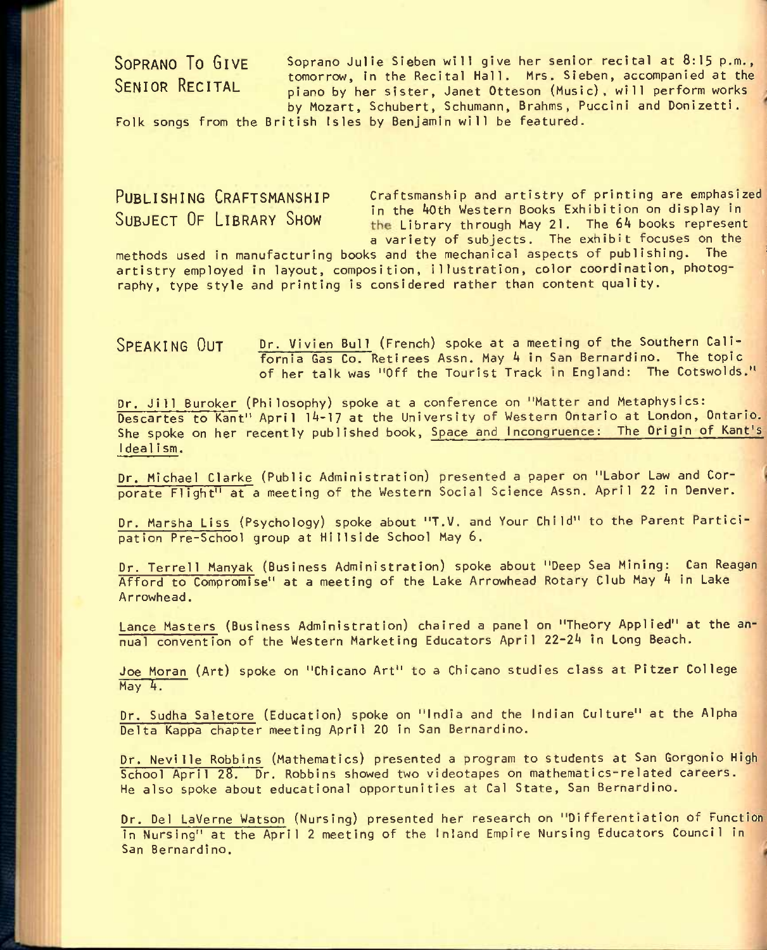SOPRANO TO GIVE Soprano Julie Sieben will give her senior recital at 8:15 p.m., **Software The City of the Recital Hall. Mrs. Sleben, accompanied at the SENIOR RECITAL** along by her sleter, langt Ottoson (Music) will perform works piano by her sister, Janet Otteson (Music), will perform works by Mozart, Schubert, Schumann, Brahms, Puccini and Donizetti.

Folk songs from the British Isles by Benjamin will be featured.

PUBLISHING CRAFTSMANSHIP Craftsmanship and artistry of printing are emphasized **COLLIGATION CONFIDENTS**<br>SUBJECT OF LIBRARY SHOW The Library through May 21. The 64 books represent the Library through May 21. The 64 books represent a variety of subjects. The exhibit focuses on the

methods used in manufacturing books and the mechanical aspects of publishing. The artistry employed in layout, composition, illustration, color coordination, photog- , raphy, type style and printing is considered rather than content quality.

SPFAKING OUT Dr. Vivien Bull (French) spoke at a meeting of the Southern California Gas Co. Retirees Assn. May 4 in San Bernardino. The topic of her talk was "Off the Tourist Track in England: The Cotswolds."

Dr. Jill Buroker (Philosophy) spoke at a conference on "Matter and Metaphysics: Descartes to Kant" April 14-17 at the University of Western Ontario at London, Ontario. She spoke on her recently published book, Space and Incongruence: The Origin of Kant's Ideal ism.

Dr. Michael Clarke (Public Administration) presented a paper on "Labor Law and Corporate Flight" at a meeting of the Western Social Science Assn. April 22 in Denver.

Dr. Marsha Liss (Psychology) spoke about "T.V. and Your Child" to the Parent Participation Pre-School group at Hillside School May 6.

Dr. Terrel1 Manyak (Business Administration) spoke about "Deep Sea Mining: Can Reagan Afford to Compromise" at a meeting of the Lake Arrowhead Rotary Club May A in Lake Arrowhead.

Lance Masters (Business Administration) chaired a panel on "Theory Applied" at the annual convention of the Western Marketing Educators April 22-2A in Long Beach.

Joe Moran (Art) spoke on "Chicano Art" to a Chicano studies class at Pitzer College  $May 4.$ 

Dr. Sudha Saletore (Education) spoke on "India and the Indian Culture" at the Alpha Delta Kappa chapter meeting April 20 in San Bernardino.

Dr. Neville Robbins (Mathematics) presented a program to students at San Gorgonio High School April 28. Dr. Robbins showed two videotapes on mathematics-related careers. He also spoke about educational opportunities at Cal State, San Bernardino.

Dr. Del LaVerne Watson (Nursing) presented her research on "Differentiation of Function in Nursing" at the April 2 meeting of the Inland Empire Nursing Educators Council in San Bernardino.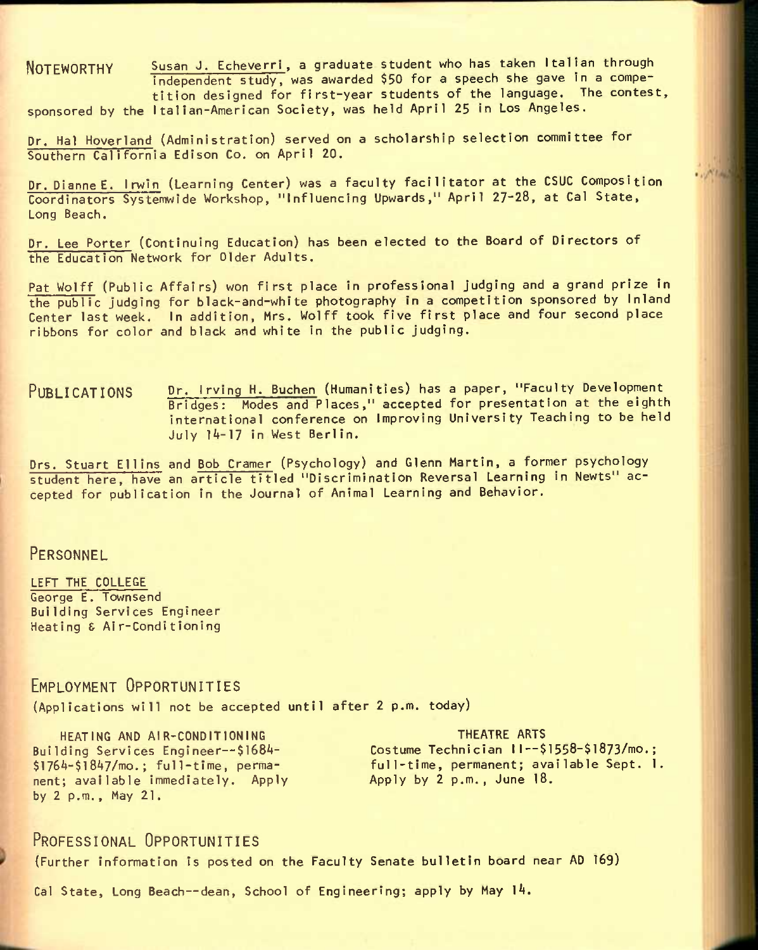NOTEWORTHY Susan J. Echeverri, a graduate student who has taken Italian through independent study, was awarded \$50 for a speech she gave in a competition designed for first-year students of the language. The contest, sponsored by the Italian-American Society, was held April 25 in Los Angeles.

Dr. Hal Hoverland (Administration) served on a scholarship selection committee for Southern California Edison Co. on April 20.

Dr. Dianne E. Irwin (Learning Center) was a faculty facilitator at the CSUC Composition Coordinators Systemwide Workshop, "Influencing Upwards," April 27-28, at Cal State, Long Beach.

Dr. Lee Porter (Continuing Education) has been elected to the Board of Directors of the Education Network for Older Adults.

Pat Wolff (Public Affairs) won first place in professional judging and a grand prize in the public Judging for black-and-white photography In a competition sponsored by Inland Center last week. In addition, Mrs. Wolff took five first place and four second place ribbons for color and black and white in the public judging.

PUBLICATIONS Dr. Irving H. Buchen (Humanities) has a paper, "Faculty Development Bridges: Modes and Places," accepted for presentation at the eighth international conference on Improving University Teaching to be held July 14-17 in West Berlin.

Drs. Stuart Ellins and Bob Cramer (Psychology) and Glenn Martin, a former psychology student here, have an article titled "Discrimination Reversal Learning in Newts" accepted for publication in the Journal of Animal Learning and Behavior.

### **PERSONNEL**

LEFT THE COLLEGE George E. Townsend Building Services Engineer Heating & Air-Conditioning

## **EMPLOYMENT OPPORTUNITIES**

(Applications will not be accepted until after 2 p.m. today)

HEATING AND AIR-CONDITIONING Building Services Engineer--\$l68^- \$1764-\$1847/mo.; full-time, permanent; available immediately. Apply by 2 p.m., May 21.

THEATRE ARTS Costume Technician II—\$1558-\$l873/mo,; full-time, permanent; available Sept. 1. Apply by 2 p.m., June 18.

 $\cdot$  ,  $\sqrt{2}$  , and

#### **PROFESSIONAL OPPORTUNITIES**

(Further information is posted on the Faculty Senate bulletin board near AD 169)

Cal State, Long Beach--dean, School of Engineering; apply by May 14.